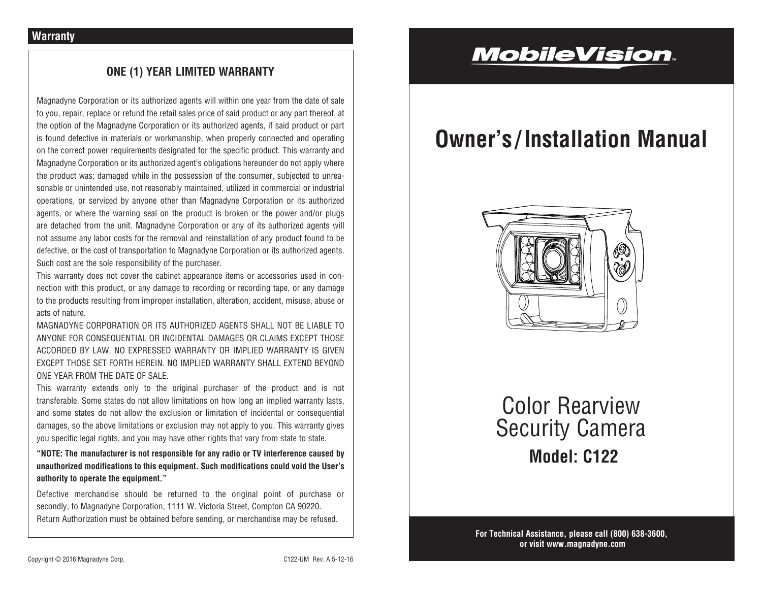# **ONE (1) YEAR LIMITED WARRANTY**

Magnadyne Corporation or its authorized agents will within one year from the date of sale to you, repair, replace or refund the retail sales price of said product or any part thereof, at the option of the Magnadyne Corporation or its authorized agents, if said product or part is found defective in materials or workmanship, when properly connected and operating on the correct power requirements designated for the specific product. This warranty and Magnadyne Corporation or its authorized agent's obligations hereunder do not apply where the product was; damaged while in the possession of the consumer, subjected to unreasonable or unintended use, not reasonably maintained, utilized in commercial or industrial operations, or serviced by anyone other than Magnadyne Corporation or its authorized agents, or where the warning seal on the product is broken or the power and/or plugs are detached from the unit. Magnadyne Corporation or any of its authorized agents will not assume any labor costs for the removal and reinstallation of any product found to be defective, or the cost of transportation to Magnadyne Corporation or its authorized agents. Such cost are the sole responsibility of the purchaser.

This warranty does not cover the cabinet appearance items or accessories used in connection with this product, or any damage to recording or recording tape, or any damage to the products resulting from improper installation, alteration, accident, misuse, abuse or acts of nature.

MAGNADYNE CORPORATION OR ITS AUTHORIZED AGENTS SHALL NOT BE LIABLE TO ANYONE FOR CONSEQUENTIAL OR INCIDENTAL DAMAGES OR CLAIMS EXCEPT THOSE ACCORDED BY LAW. NO EXPRESSED WARRANTY OR IMPLIED WARRANTY IS GIVEN EXCEPT THOSE SET FORTH HEREIN. NO IMPLIED WARRANTY SHALL EXTEND BEYOND ONE YEAR FROM THE DATE OF SALE.

This warranty extends only to the original purchaser of the product and is not transferable. Some states do not allow limitations on how long an implied warranty lasts, and some states do not allow the exclusion or limitation of incidental or consequential damages, so the above limitations or exclusion may not apply to you. This warranty gives you specific legal rights, and you may have other rights that vary from state to state.

**"NOTE: The manufacturer is not responsible for any radio or TV interference caused by unauthorized modifications to this equipment. Such modifications could void the User's authority to operate the equipment."**

Defective merchandise should be returned to the original point of purchase or secondly, to Magnadyne Corporation, 1111 W. Victoria Street, Compton CA 90220. Return Authorization must be obtained before sending, or merchandise may be refused.

# **MobileVision**.

# **Owner's / Installation Manual**



**Model: C122** Color Rearview Security Camera

**For Technical Assistance, please call (800) 638-3600, or visit www.magnadyne.com**